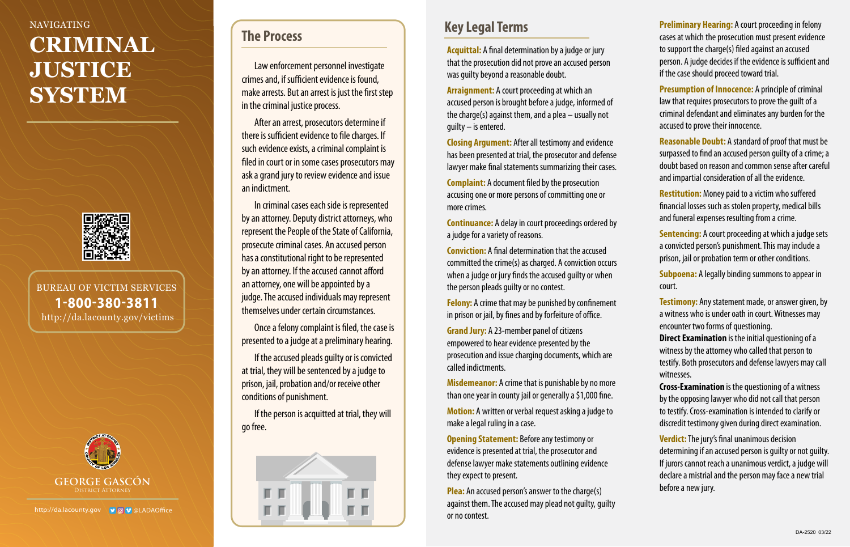### NAVIGATING

# **CRIMINAL JUSTICE SYSTEM**



BUREAU OF VICTIM SERVICES 1-800-380-3811 http://da.lacounty.gov/victims



http://da.lacounty.gov 9000LADAOffice

### **The Process**

Law enforcement personnel investigate crimes and, if sufficient evidence is found, make arrests. But an arrest is just the first step in the criminal justice process.

After an arrest, prosecutors determine if there is sufficient evidence to file charges. If such evidence exists, a criminal complaint is filed in court or in some cases prosecutors may ask a grand jury to review evidence and issue an indictment.

In criminal cases each side is represented by an attorney. Deputy district attorneys, who represent the People of the State of California, prosecute criminal cases. An accused person has a constitutional right to be represented by an attorney. If the accused cannot afford an attorney, one will be appointed by a judge. The accused individuals may represent themselves under certain circumstances.

Once a felony complaint is filed, the case is presented to a judge at a preliminary hearing.

If the accused pleads guilty or is convicted at trial, they will be sentenced by a judge to prison, jail, probation and/or receive other conditions of punishment.

If the person is acquitted at trial, they will go free.



**Acquittal:** A final determination by a judge or jury that the prosecution did not prove an accused person was guilty beyond a reasonable doubt.

**Arraignment:** A court proceeding at which an accused person is brought before a judge, informed of the charge(s) against them, and a plea – usually not quilty  $-$  is entered.

**Closing Argument:** After all testimony and evidence has been presented at trial, the prosecutor and defense lawyer make final statements summarizing their cases.

**Complaint:** A document filed by the prosecution accusing one or more persons of committing one or more crimes.

**Continuance:** A delay in court proceedings ordered by a judge for a variety of reasons.

**Conviction:** A final determination that the accused committed the crime(s) as charged. A conviction occurs when a judge or jury finds the accused guilty or when the person pleads guilty or no contest.

**Felony:** A crime that may be punished by confinement in prison or jail, by fines and by forfeiture of office.

**Grand Jury:** A 23-member panel of citizens empowered to hear evidence presented by the prosecution and issue charging documents, which are called indictments.

**Misdemeanor:** A crime that is punishable by no more than one year in county jail or generally a \$1,000 fine.

**Motion:** A written or verbal request asking a judge to make a legal ruling in a case.

**Opening Statement:** Before any testimony or evidence is presented at trial, the prosecutor and defense lawyer make statements outlining evidence they expect to present.

**Plea:** An accused person's answer to the charge(s) against them. The accused may plead not guilty, guilty or no contest.

**Key Legal Terms Preliminary Hearing:** A court proceeding in felony cases at which the prosecution must present evidence to support the charge(s) filed against an accused person. A judge decides if the evidence is sufficient and if the case should proceed toward trial.

> **Presumption of Innocence:** A principle of criminal law that requires prosecutors to prove the guilt of a criminal defendant and eliminates any burden for the accused to prove their innocence.

**Reasonable Doubt:** A standard of proof that must be surpassed to find an accused person guilty of a crime; a doubt based on reason and common sense after careful and impartial consideration of all the evidence.

**Restitution:** Money paid to a victim who suffered financial losses such as stolen property, medical bills and funeral expenses resulting from a crime.

**Sentencing:** A court proceeding at which a judge sets a convicted person's punishment. This may include a prison, jail or probation term or other conditions.

**Subpoena:** A legally binding summons to appear in court.

**Testimony:** Any statement made, or answer given, by a witness who is under oath in court. Witnesses may encounter two forms of questioning.

**Direct Examination** is the initial questioning of a witness by the attorney who called that person to testify. Both prosecutors and defense lawyers may call witnesses.

**Cross-Examination** is the questioning of a witness by the opposing lawyer who did not call that person to testify. Cross-examination is intended to clarify or discredit testimony given during direct examination.

**Verdict:** The jury's final unanimous decision determining if an accused person is guilty or not guilty. If jurors cannot reach a unanimous verdict, a judge will declare a mistrial and the person may face a new trial before a new jury.